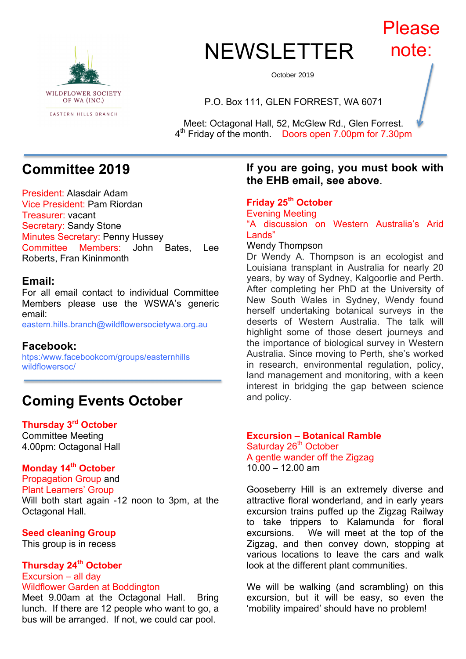

# **NEWSLETTER** Please note:

October 2019

P.O. Box 111, GLEN FORREST, WA 6071

Meet: Octagonal Hall, 52, McGlew Rd., Glen Forrest. 4th Friday of the month. Doors open 7.00pm for 7.30pm

# **Committee 2019**

President: Alasdair Adam Vice President: Pam Riordan Treasurer: vacant Secretary: Sandy Stone Minutes Secretary: Penny Hussey Committee Members: John Bates, Lee Roberts, Fran Kininmonth

## **Email:**

For all email contact to individual Committee Members please use the WSWA's generic email:

eastern.hills.branch@wildflowersocietywa.org.au

### **Facebook:**

htps:/www.facebookcom/groups/easternhills wildflowersoc/

# **Coming Events October**

## **Thursday 3rd October**

Committee Meeting 4.00pm: Octagonal Hall

## **Monday 14th October**

Propagation Group and Plant Learners' Group Will both start again -12 noon to 3pm, at the Octagonal Hall.

#### **Seed cleaning Group**

This group is in recess

## **Thursday 24th October** Excursion – all day

## Wildflower Garden at Boddington

Meet 9.00am at the Octagonal Hall. Bring lunch. If there are 12 people who want to go, a bus will be arranged. If not, we could car pool.

## **If you are going, you must book with the EHB email, see above**.

#### **Friday 25th October** Evening Meeting "A discussion on Western Australia's Arid Lands" Wendy Thompson

Dr Wendy A. Thompson is an ecologist and Louisiana transplant in Australia for nearly 20 years, by way of Sydney, Kalgoorlie and Perth. After completing her PhD at the University of New South Wales in Sydney, Wendy found herself undertaking botanical surveys in the deserts of Western Australia. The talk will highlight some of those desert journeys and the importance of biological survey in Western Australia. Since moving to Perth, she's worked in research, environmental regulation, policy, land management and monitoring, with a keen interest in bridging the gap between science and policy.

#### **Excursion – Botanical Ramble** Saturday 26<sup>th</sup> October A gentle wander off the Zigzag  $10.00 - 12.00$  am

Gooseberry Hill is an extremely diverse and attractive floral wonderland, and in early years excursion trains puffed up the Zigzag Railway to take trippers to Kalamunda for floral excursions. We will meet at the top of the Zigzag, and then convey down, stopping at various locations to leave the cars and walk look at the different plant communities.

We will be walking (and scrambling) on this excursion, but it will be easy, so even the 'mobility impaired' should have no problem!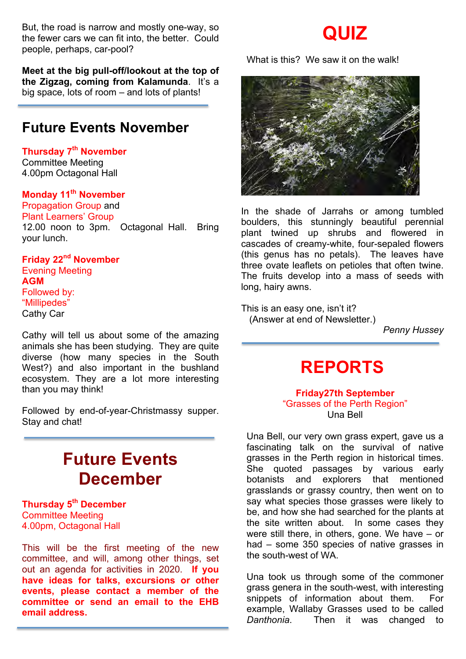But, the road is narrow and mostly one-way, so the fewer cars we can fit into, the better. Could people, perhaps, car-pool?

**Meet at the big pull-off/lookout at the top of the Zigzag, coming from Kalamunda**. It's a big space, lots of room – and lots of plants!

# **Future Events November**

**Thursday 7th November** Committee Meeting 4.00pm Octagonal Hall

# **Monday 11th November**

Propagation Group and Plant Learners' Group 12.00 noon to 3pm. Octagonal Hall. Bring your lunch.

**Friday 22nd November** Evening Meeting **AGM** Followed by: "Millipedes" Cathy Car

Cathy will tell us about some of the amazing animals she has been studying. They are quite diverse (how many species in the South West?) and also important in the bushland ecosystem. They are a lot more interesting than you may think!

Followed by end-of-year-Christmassy supper. Stay and chat!

# **Future Events December**

**Thursday 5th December** Committee Meeting 4.00pm, Octagonal Hall

This will be the first meeting of the new committee, and will, among other things, set out an agenda for activities in 2020. **If you have ideas for talks, excursions or other events, please contact a member of the committee or send an email to the EHB email address.**

# **QUIZ**

What is this? We saw it on the walk!



In the shade of Jarrahs or among tumbled boulders, this stunningly beautiful perennial plant twined up shrubs and flowered in cascades of creamy-white, four-sepaled flowers (this genus has no petals). The leaves have three ovate leaflets on petioles that often twine. The fruits develop into a mass of seeds with long, hairy awns.

This is an easy one, isn't it? (Answer at end of Newsletter.)

*Penny Hussey*

# **REPORTS**

#### **Friday27th September** "Grasses of the Perth Region" Una Bell

Una Bell, our very own grass expert, gave us a fascinating talk on the survival of native grasses in the Perth region in historical times. She quoted passages by various early botanists and explorers that mentioned grasslands or grassy country, then went on to say what species those grasses were likely to be, and how she had searched for the plants at the site written about. In some cases they were still there, in others, gone. We have – or had – some 350 species of native grasses in the south-west of WA.

Una took us through some of the commoner grass genera in the south-west, with interesting snippets of information about them. For example, Wallaby Grasses used to be called *Danthonia*. Then it was changed to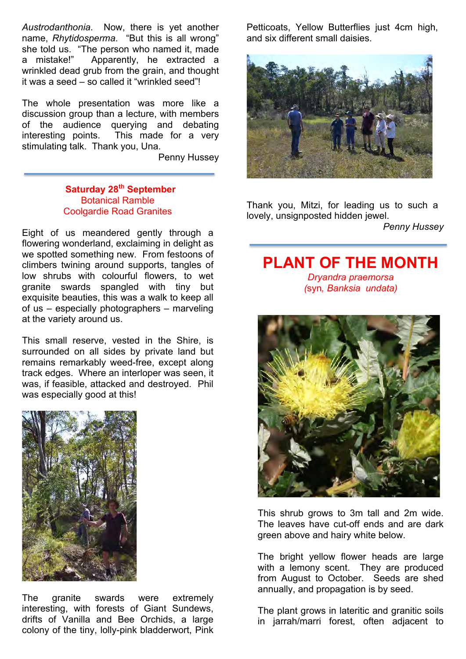*Austrodanthonia*. Now, there is yet another name, *Rhytidosperma*. "But this is all wrong" she told us. "The person who named it, made a mistake!" Apparently, he extracted a wrinkled dead grub from the grain, and thought it was a seed – so called it "wrinkled seed"!

The whole presentation was more like a discussion group than a lecture, with members of the audience querying and debating interesting points. This made for a very stimulating talk. Thank you, Una.

Penny Hussey

#### **Saturday 28th September** Botanical Ramble Coolgardie Road Granites

Eight of us meandered gently through a flowering wonderland, exclaiming in delight as we spotted something new. From festoons of climbers twining around supports, tangles of low shrubs with colourful flowers, to wet granite swards spangled with tiny but exquisite beauties, this was a walk to keep all of us – especially photographers – marveling at the variety around us.

This small reserve, vested in the Shire, is surrounded on all sides by private land but remains remarkably weed-free, except along track edges. Where an interloper was seen, it was, if feasible, attacked and destroyed. Phil was especially good at this!



The granite swards were extremely interesting, with forests of Giant Sundews, drifts of Vanilla and Bee Orchids, a large colony of the tiny, lolly-pink bladderwort, Pink Petticoats, Yellow Butterflies just 4cm high, and six different small daisies.



Thank you, Mitzi, for leading us to such a lovely, unsignposted hidden jewel.

*Penny Hussey*

# **PLANT OF THE MONTH** *Dryandra praemorsa (*syn*, Banksia undata)*



This shrub grows to 3m tall and 2m wide. The leaves have cut-off ends and are dark green above and hairy white below.

The bright yellow flower heads are large with a lemony scent. They are produced from August to October. Seeds are shed annually, and propagation is by seed.

The plant grows in lateritic and granitic soils in jarrah/marri forest, often adjacent to